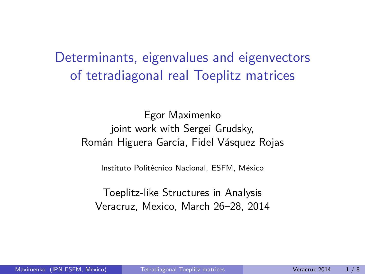Determinants, eigenvalues and eigenvectors of tetradiagonal real Toeplitz matrices

Egor Maximenko joint work with Sergei Grudsky, Román Higuera García, Fidel Vásquez Rojas

Instituto Politécnico Nacional, ESFM, México

<span id="page-0-0"></span>Toeplitz-like Structures in Analysis Veracruz, Mexico, March 26–28, 2014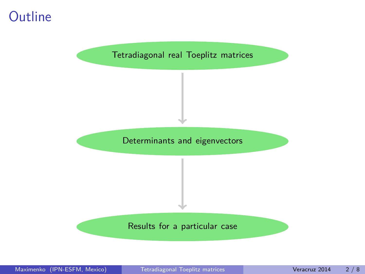## **Outline**

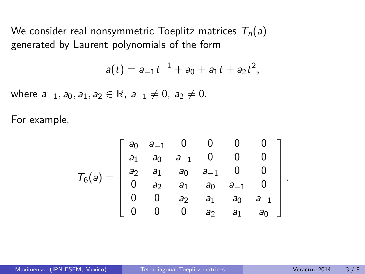We consider real nonsymmetric Toeplitz matrices  $T_n(a)$ generated by Laurent polynomials of the form

$$
a(t) = a_{-1}t^{-1} + a_0 + a_1t + a_2t^2,
$$

where  $a_{-1}, a_0, a_1, a_2 \in \mathbb{R}$ ,  $a_{-1} \neq 0$ ,  $a_2 \neq 0$ .

For example,

$$
T_6(a) = \left[\begin{array}{cccccc} a_0 & a_{-1} & 0 & 0 & 0 & 0 \\ a_1 & a_0 & a_{-1} & 0 & 0 & 0 \\ a_2 & a_1 & a_0 & a_{-1} & 0 & 0 \\ 0 & a_2 & a_1 & a_0 & a_{-1} & 0 \\ 0 & 0 & a_2 & a_1 & a_0 & a_{-1} \\ 0 & 0 & 0 & a_2 & a_1 & a_0 \end{array}\right].
$$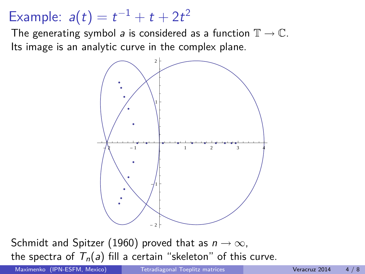## Example:  $a(t) = t^{-1} + t + 2t^2$

The generating symbol a is considered as a function  $\mathbb{T} \to \mathbb{C}$ . Its image is an analytic curve in the complex plane.



Schmidt and Spitzer (1960) proved that as  $n \to \infty$ , the spectra of  $T_n(a)$  fill a certain "skeleton" of this curve.

Maximenko (IPN-ESFM, Mexico) [Tetradiagonal Toeplitz matrices](#page-0-0) Veracruz 2014 4/8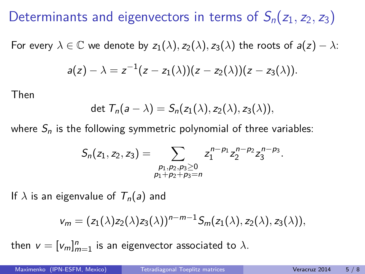## Determinants and eigenvectors in terms of  $S_n(z_1, z_2, z_3)$

For every  $\lambda \in \mathbb{C}$  we denote by  $z_1(\lambda), z_2(\lambda), z_3(\lambda)$  the roots of  $a(z) - \lambda$ :

$$
a(z)-\lambda=z^{-1}(z-z_1(\lambda))(z-z_2(\lambda))(z-z_3(\lambda)).
$$

Then

$$
\det T_n(a-\lambda)=S_n(z_1(\lambda),z_2(\lambda),z_3(\lambda)),
$$

where  $S_n$  is the following symmetric polynomial of three variables:

$$
S_n(z_1, z_2, z_3) = \sum_{\substack{p_1, p_2, p_3 \geq 0 \\ p_1 + p_2 + p_3 = n}} z_1^{n-p_1} z_2^{n-p_2} z_3^{n-p_3}.
$$

If  $\lambda$  is an eigenvalue of  $T_n(a)$  and

$$
v_m = (z_1(\lambda)z_2(\lambda)z_3(\lambda))^{n-m-1} S_m(z_1(\lambda), z_2(\lambda), z_3(\lambda)),
$$

then  $v = [v_m]_{m=1}^n$  is an eigenvector associated to  $\lambda$ .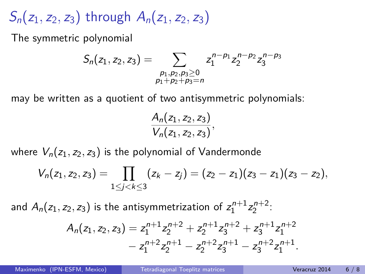$S_n(z_1, z_2, z_3)$  through  $A_n(z_1, z_2, z_3)$ 

The symmetric polynomial

$$
S_n(z_1, z_2, z_3) = \sum_{\substack{p_1, p_2, p_3 \geq 0 \\ p_1 + p_2 + p_3 = n}} z_1^{n-p_1} z_2^{n-p_2} z_3^{n-p_3}
$$

may be written as a quotient of two antisymmetric polynomials:

$$
\frac{A_n(z_1, z_2, z_3)}{V_n(z_1, z_2, z_3)},
$$

where  $V_n(z_1, z_2, z_3)$  is the polynomial of Vandermonde

$$
V_n(z_1,z_2,z_3)=\prod_{1\leq j
$$

and  $A_n(z_1, z_2, z_3)$  is the antisymmetrization of  $z_1^{n+1}z_2^{n+2}$ :

$$
A_n(z_1, z_2, z_3) = z_1^{n+1} z_2^{n+2} + z_2^{n+1} z_3^{n+2} + z_3^{n+1} z_1^{n+2} - z_1^{n+2} z_2^{n+1} - z_2^{n+2} z_3^{n+1} - z_3^{n+2} z_1^{n+1}.
$$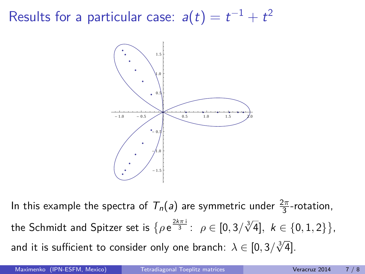Results for a particular case:  $a(t)=t^{-1}+t^2$ 



In this example the spectra of  $T_n(a)$  are symmetric under  $\frac{2\pi}{3}$ -rotation,  $\mathcal{L}$  the Schmidt and Spitzer set is  $\{ \rho \in \frac{2k\pi}{3} : \ \rho \in [0,3/\sqrt[3]{4}], \ k \in \{0,1,2\} \},$ and it is sufficient to consider only one branch:  $\lambda \in [0, 3/\sqrt[3]{4}]$ .